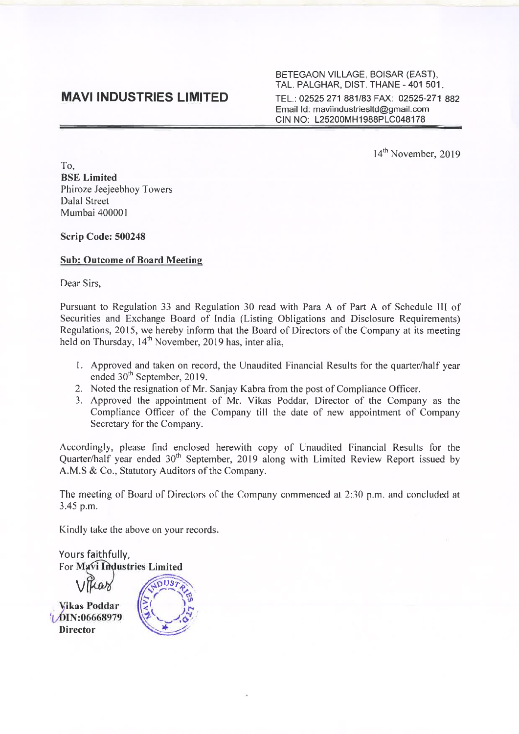BETEGAON VILLAGE, BOISAR (EAST), TAL. PALGHAR, DIST. THANE - 401 501. TEL.: 02525 271 881/83 FAX: 02525-271 882 Email Id: maviindustriesltd@gmail.com CIN NO: L25200MH1988PLC048178

14<sup>th</sup> November, 2019

To, BSE Limited Phiroze Jeejeebhoy Towers Dalal Street Mumbai 40000 I

Scrip Code: 500248

#### Sub: Outcome of Board Meeting

Dear Sirs,

Pursuant to Regulation 33 and Regulation 30 read with Para A of Part A of Schedule III of Securities and Exchange Board of India (Listing Obligations and Disclosure Requirements) Regulations, 2015, we hereby inform that the Board of Directors of the Company at its meeting held on Thursday, 14<sup>th</sup> November, 2019 has, inter alia,

- 1. Approved and taken on record, the Unaudited Financial Results for the quarter/half year ended 30<sup>th</sup> September, 2019.
- 2. Noted the resignation of Mr. Sanjay Kabra from the post of Compliance Officer.
- 3. Approved the appointment of Mr. Vikas Poddar, Director of the Company as the Compliance Officer of the Company till the date of new appointment of Company Secretary for the Company.

Accordingly, please find enclosed herewith copy of Unaudited Financial Results for the Quarter/half year ended 30<sup>th</sup> September, 2019 along with Limited Review Report issued by A.M.S & Co., Statutory Auditors of the Company.

The meeting of Board of Directors of the Company commenced at 2:30 p.m. and concluded at 3.45 p.m.

Kindly take the above on your records.

Yours faithfully, For Mavi Industries Limited  $\alpha$ lle **Vikas Poddar** DIN:06668979 **Director**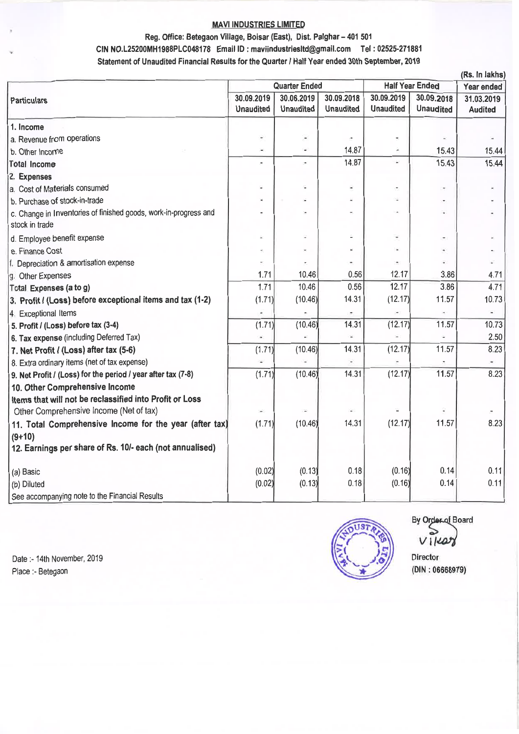### Reg. Office: Betegaon Village, Boisar (East), Dist. Palghar - 401 501 CIN NO.L25200MH1988PLC048178 Email ID: maviindustriesltd@gmail.com Tel: 02525-271881 Statement of Unaudited Financial Results for the Quarter *I* Half Year ended 30th September, 2019

|                                                                  |                      |                                 |                  |                          |                  | (Rs. In lakhs) |
|------------------------------------------------------------------|----------------------|---------------------------------|------------------|--------------------------|------------------|----------------|
|                                                                  | <b>Quarter Ended</b> |                                 |                  | <b>Half Year Ended</b>   |                  | Year ended     |
| Particulars                                                      | 30.09.2019           | 30.06.2019                      | 30.09.2018       | 30.09.2019               | 30.09.2018       | 31.03.2019     |
|                                                                  | <b>Unaudited</b>     | <b>Unaudited</b>                | <b>Unaudited</b> | <b>Unaudited</b>         | <b>Unaudited</b> | <b>Audited</b> |
| 1. Income                                                        |                      |                                 |                  |                          |                  |                |
| a. Revenue from operations                                       | ÷                    | $\centering \label{eq:reduced}$ |                  | $\blacksquare$           |                  |                |
| b. Other Incorne                                                 | W.                   |                                 | 14.87            |                          | 15.43            | 15.44          |
| Total Income                                                     | ×                    | ٠                               | 14.87            | à.                       | 15.43            | 15.44          |
| 2. Expenses                                                      |                      |                                 |                  |                          |                  |                |
| a. Cost of Materials consumed                                    |                      |                                 | ×,               | ÷                        | $\blacksquare$   |                |
| b. Purchase of stock-in-trade                                    |                      |                                 |                  | ü                        | $\blacksquare$   |                |
| c. Change in Inventories of finished goods, work-in-progress and |                      | ×                               |                  | $\bar{a}$                |                  |                |
| stock in trade                                                   |                      |                                 |                  |                          |                  |                |
| d. Employee benefit expense                                      | ٠                    |                                 |                  | $\overline{\phantom{a}}$ |                  |                |
| e. Finance Cost                                                  |                      |                                 |                  |                          |                  |                |
| f. Depreciation & amortisation expense                           |                      |                                 |                  |                          |                  |                |
| g. Other Expenses                                                | 1.71                 | 10.46                           | 0.56             | 12.17                    | 3.86             | 4.71           |
| Total Expenses (a to g)                                          | 1.71                 | 10.46                           | 0.56             | 12.17                    | 3.86             | 4.71           |
| 3. Profit / (Loss) before exceptional items and tax (1-2)        | (1.71)               | (10.46)                         | 14.31            | (12.17)                  | 11.57            | 10.73          |
| 4. Exceptional Items                                             |                      |                                 |                  |                          |                  |                |
| 5. Profit / (Loss) before tax (3-4)                              | (1.71)               | (10.46)                         | 14.31            | (12.17)                  | 11.57            | 10.73          |
| 6. Tax expense (including Deferred Tax)                          |                      |                                 |                  |                          |                  | 2.50           |
| 7. Net Profit / (Loss) after tax (5-6)                           | (1.71)               | (10.46)                         | 14.31            | (12.17)                  | 11.57            | 8.23           |
| 8. Extra ordinary items (net of tax expense)                     |                      |                                 |                  |                          |                  |                |
| 9. Net Profit / (Loss) for the period / year after tax (7-8)     | (1.71)               | (10.46)                         | 14.31            | (12.17)                  | 11.57            | 8.23           |
| 10. Other Comprehensive Income                                   |                      |                                 |                  |                          |                  |                |
| Items that will not be reclassified into Profit or Loss          |                      |                                 |                  |                          |                  |                |
| Other Comprehensive Income (Net of tax)                          |                      |                                 |                  |                          |                  |                |
| 11. Total Comprehensive Income for the year (after tax)          | (1.71)               | (10.46)                         | 14.31            | (12.17)                  | 11.57            | 8.23           |
| $(9+10)$                                                         |                      |                                 |                  |                          |                  |                |
| 12. Earnings per share of Rs. 10/- each (not annualised)         |                      |                                 |                  |                          |                  |                |
| (a) Basic                                                        | (0.02)               | (0.13)                          | 0.18             | (0.16)                   | 0.14             | 0.11           |
| (b) Diluted                                                      | (0.02)               | (0.13)                          | 0.18             | (0.16)                   | 0.14             | 0.11           |
| See accompanying note to the Financial Results                   |                      |                                 |                  |                          |                  |                |
|                                                                  |                      |                                 |                  |                          |                  |                |

Date :- 14th November, 2019 Place:- Betegaon



Director (DIN : 06668979) By Order of Board  $VII$  $407$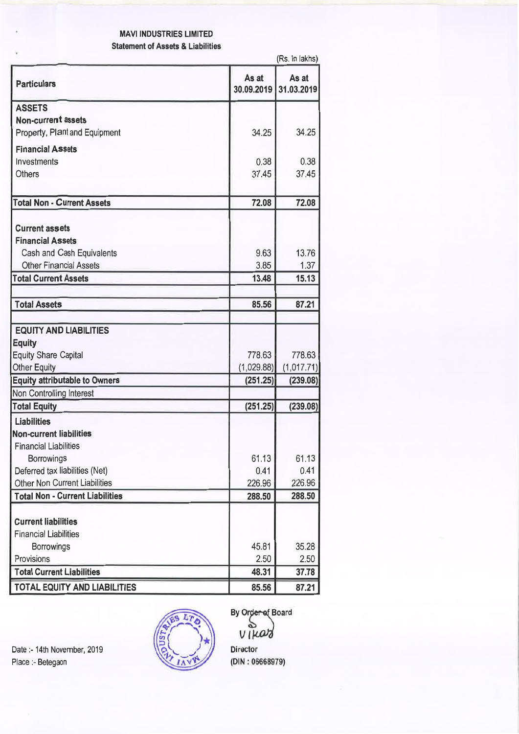### MAVI INDUSTRIES LIMITED Statement of Assets & Liabilities

|                                        |                     | (Rs. In lakhs)      |
|----------------------------------------|---------------------|---------------------|
| <b>Particulars</b>                     | As at<br>30.09.2019 | As at<br>31.03.2019 |
| <b>ASSETS</b>                          |                     |                     |
| <b>Non-current assets</b>              |                     |                     |
| Property, Plant and Equipment          | 34.25               | 34.25               |
| <b>Financial Assets</b>                |                     |                     |
| Investments                            | 0.38                | 0.38                |
| <b>Others</b>                          | 37.45               | 37.45               |
|                                        |                     |                     |
| <b>Total Non - Current Assets</b>      | 72.08               | 72.08               |
|                                        |                     |                     |
| <b>Current assets</b>                  |                     |                     |
| <b>Financial Assets</b>                |                     |                     |
| Cash and Cash Equivalents              | 9.63                | 13.76               |
| <b>Other Financial Assets</b>          | 3.85                | 1.37                |
| <b>Total Current Assets</b>            | 13.48               | 15.13               |
|                                        |                     |                     |
| <b>Total Assets</b>                    | 85.56               | 87.21               |
|                                        |                     |                     |
| <b>EQUITY AND LIABILITIES</b>          |                     |                     |
| <b>Equity</b>                          |                     |                     |
| <b>Equity Share Capital</b>            | 778.63              | 778.63              |
| <b>Other Equity</b>                    | (1,029.88)          | (1,017.71)          |
| <b>Equity attributable to Owners</b>   | (251.25)            | (239.08)            |
| Non Controlling Interest               |                     |                     |
| <b>Total Equity</b>                    | (251.25)            | (239.08)            |
| <b>Liabilities</b>                     |                     |                     |
| <b>Non-current liabilities</b>         |                     |                     |
| <b>Financial Liabilities</b>           |                     |                     |
| <b>Borrowings</b>                      | 61.13               | 61.13               |
| Deferred tax liabilities (Net)         | 0.41                | 0.41                |
| Other Non Current Liabilities          | 226.96              | 226.96              |
| <b>Total Non - Current Liabilities</b> | 288.50              | 288.50              |
|                                        |                     |                     |
| <b>Current liabilities</b>             |                     |                     |
| <b>Financial Liabilities</b>           |                     |                     |
| <b>Borrowings</b>                      | 45.81               | 35.28               |
| Provisions                             | 2.50                | 2,50                |
| <b>Total Current Liabilities</b>       | 48.31               | 37.78               |
| <b>TOTAL EQUITY AND LIABILITIES</b>    | 85.56               | 87.21               |

Date:- 14th November, 2019 Place :- Betegaon



By Order of Board  $\tilde{\mathbf{a}}$  $V$  *I* kar Director (DIN : 06668979)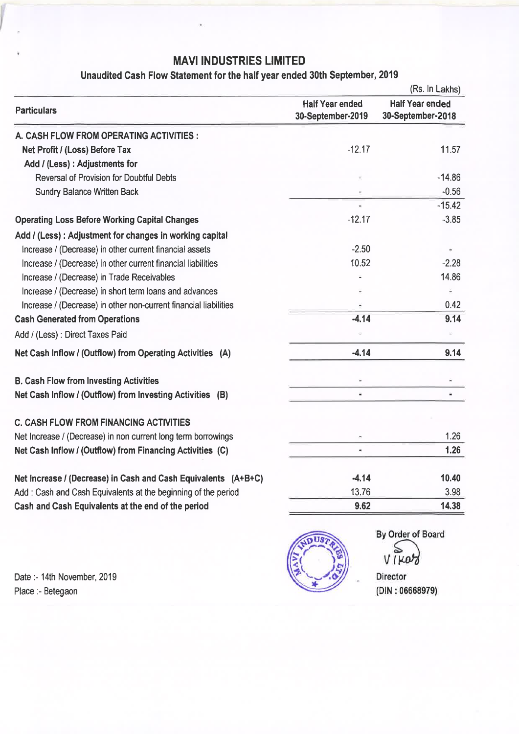## Unaudited Cash Flow Statement for the half year ended 30th September, 2019

|                                                                  | (Rs. In Lakhs)                              |                                             |  |  |
|------------------------------------------------------------------|---------------------------------------------|---------------------------------------------|--|--|
| <b>Particulars</b>                                               | <b>Half Year ended</b><br>30-September-2019 | <b>Half Year ended</b><br>30-September-2018 |  |  |
| A. CASH FLOW FROM OPERATING ACTIVITIES :                         |                                             |                                             |  |  |
| Net Profit / (Loss) Before Tax                                   | $-12.17$                                    | 11.57                                       |  |  |
| Add / (Less) : Adjustments for                                   |                                             |                                             |  |  |
| <b>Reversal of Provision for Doubtful Debts</b>                  |                                             | $-14.86$                                    |  |  |
| <b>Sundry Balance Written Back</b>                               |                                             | $-0.56$                                     |  |  |
|                                                                  | $\tilde{\phantom{a}}$                       | $-15.42$                                    |  |  |
| <b>Operating Loss Before Working Capital Changes</b>             | $-12.17$                                    | $-3.85$                                     |  |  |
| Add / (Less) : Adjustment for changes in working capital         |                                             |                                             |  |  |
| Increase / (Decrease) in other current financial assets          | $-2.50$                                     |                                             |  |  |
| Increase / (Decrease) in other current financial liabilities     | 10.52                                       | $-2.28$                                     |  |  |
| Increase / (Decrease) in Trade Receivables                       |                                             | 14.86                                       |  |  |
| Increase / (Decrease) in short term loans and advances           |                                             |                                             |  |  |
| Increase / (Decrease) in other non-current financial liabilities |                                             | 0.42                                        |  |  |
| <b>Cash Generated from Operations</b>                            | $-4.14$                                     | 9.14                                        |  |  |
| Add / (Less) : Direct Taxes Paid                                 |                                             | ÷                                           |  |  |
| Net Cash Inflow / (Outflow) from Operating Activities (A)        | $-4.14$                                     | 9.14                                        |  |  |
| <b>B. Cash Flow from Investing Activities</b>                    | ×                                           | $\overline{\phantom{a}}$                    |  |  |
| Net Cash Inflow / (Outflow) from Investing Activities (B)        |                                             |                                             |  |  |
| <b>C. CASH FLOW FROM FINANCING ACTIVITIES</b>                    |                                             |                                             |  |  |
| Net Increase / (Decrease) in non current long term borrowings    |                                             | 1.26                                        |  |  |
| Net Cash Inflow / (Outflow) from Financing Activities (C)        | $\blacksquare$                              | 1.26                                        |  |  |
| Net increase / (Decrease) in Cash and Cash Equivalents (A+B+C)   | $-4.14$                                     | 10.40                                       |  |  |
| Add: Cash and Cash Equivalents at the beginning of the period    | 13.76                                       | 3.98                                        |  |  |
| Cash and Cash Equivalents at the end of the period               | 9.62                                        | 14.38                                       |  |  |
|                                                                  |                                             |                                             |  |  |

Date: - 14th November, 2019 Place :- Betegaon



By Order of Board VIKOZ

Director (DIN : 06668979)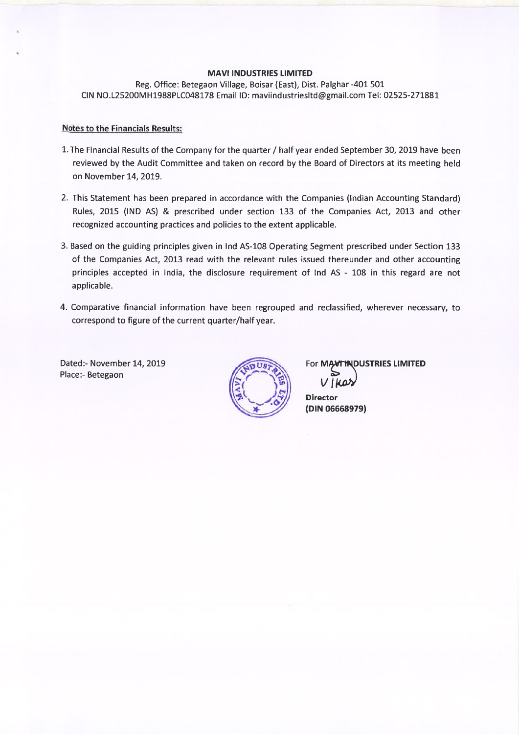Reg. Office: Betegaon Village, Boisar (East), Dist. Palghar -401 501 CIN NO.L25200MH1988PLC048178 Email ID: maviindustriesltd@gmail.com Tel: 02525-271881

#### Notes to the Financials Results:

- 1. The Financial Results of the Company for the quarter/ half year ended September 30, 2019 have been reviewed by the Audit Committee and taken on record by the Board of Directors at its meeting held on November 14, 2019.
- 2. This Statement has been prepared in accordance with the Companies {Indian Accounting Standard) Rules, 2015 {IND AS) & prescribed under section 133 of the Companies Act, 2013 and other recognized accounting practices and policies to the extent applicable.
- 3. Based on the guiding principles given in Ind AS-108 Operating Segment prescribed under Section 133 of the Companies Act, 2013 read with the relevant rules issued thereunder and other accounting principles accepted in India, the disclosure requirement of Ind AS - 108 in this regard are not applicable.
- 4. Comparative financial information have been regrouped and reclassified, wherever necessary, to correspond to figure of the current quarter/half year.

Dated:- November 14, 2019 Place:- Betegaon



For MANTINDUSTRIES LIMITED

**Director** (DIN 06668979)  $V$ *Mar*